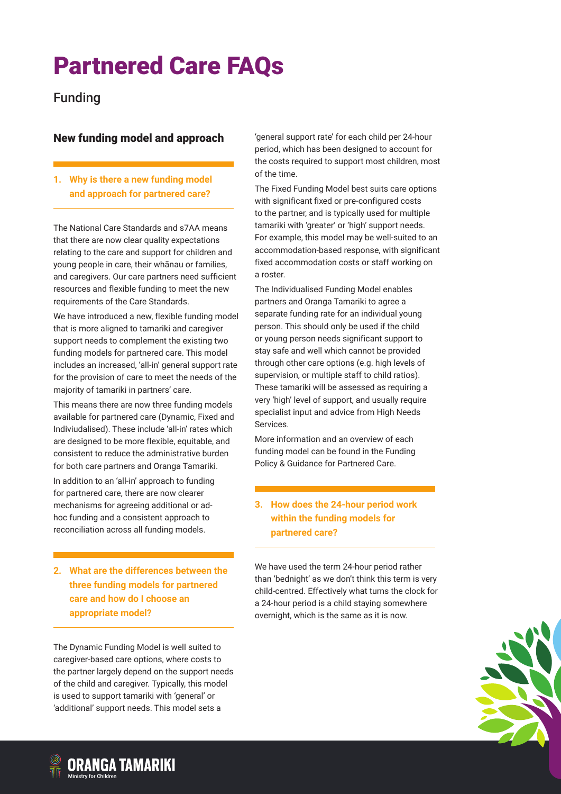# Funding

### New funding model and approach

## **1. Why is there a new funding model and approach for partnered care?**

The National Care Standards and s7AA means that there are now clear quality expectations relating to the care and support for children and young people in care, their whānau or families, and caregivers. Our care partners need sufficient resources and flexible funding to meet the new requirements of the Care Standards.

We have introduced a new, flexible funding model that is more aligned to tamariki and caregiver support needs to complement the existing two funding models for partnered care. This model includes an increased, 'all-in' general support rate for the provision of care to meet the needs of the majority of tamariki in partners' care.

This means there are now three funding models available for partnered care (Dynamic, Fixed and Indiviudalised). These include 'all-in' rates which are designed to be more flexible, equitable, and consistent to reduce the administrative burden for both care partners and Oranga Tamariki.

In addition to an 'all-in' approach to funding for partnered care, there are now clearer mechanisms for agreeing additional or adhoc funding and a consistent approach to reconciliation across all funding models.

**2. What are the differences between the three funding models for partnered care and how do I choose an appropriate model?**

The Dynamic Funding Model is well suited to caregiver-based care options, where costs to the partner largely depend on the support needs of the child and caregiver. Typically, this model is used to support tamariki with 'general' or 'additional' support needs. This model sets a

'general support rate' for each child per 24-hour period, which has been designed to account for the costs required to support most children, most of the time.

The Fixed Funding Model best suits care options with significant fixed or pre-configured costs to the partner, and is typically used for multiple tamariki with 'greater' or 'high' support needs. For example, this model may be well-suited to an accommodation-based response, with significant fixed accommodation costs or staff working on a roster.

The Individualised Funding Model enables partners and Oranga Tamariki to agree a separate funding rate for an individual young person. This should only be used if the child or young person needs significant support to stay safe and well which cannot be provided through other care options (e.g. high levels of supervision, or multiple staff to child ratios). These tamariki will be assessed as requiring a very 'high' level of support, and usually require specialist input and advice from High Needs Services.

More information and an overview of each funding model can be found in the Funding Policy & Guidance for Partnered Care.

**3. How does the 24-hour period work within the funding models for partnered care?**

We have used the term 24-hour period rather than 'bednight' as we don't think this term is very child-centred. Effectively what turns the clock for a 24-hour period is a child staying somewhere overnight, which is the same as it is now.



**NGA TAMARIKI**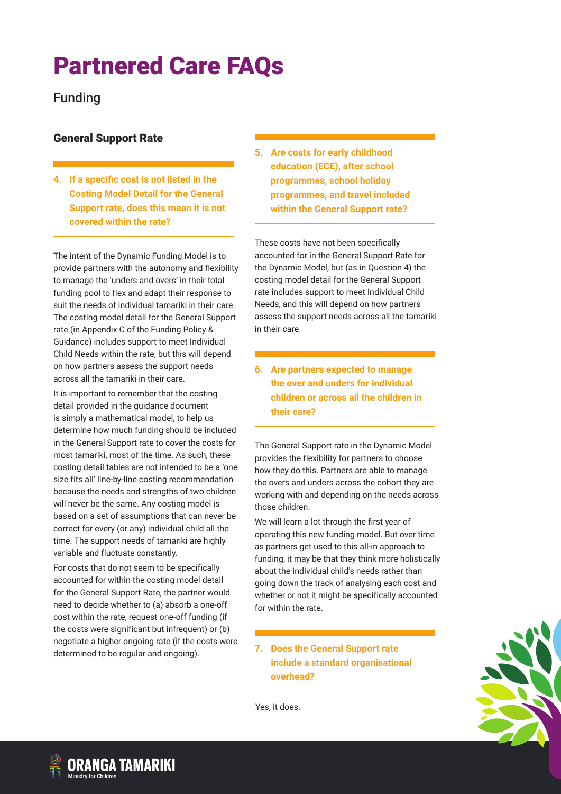# Funding

## General Support Rate

**4. If a specific cost is not listed in the Costing Model Detail for the General Support rate, does this mean it is not covered within the rate?**

The intent of the Dynamic Funding Model is to provide partners with the autonomy and flexibility to manage the 'unders and overs' in their total funding pool to flex and adapt their response to suit the needs of individual tamariki in their care. The costing model detail for the General Support rate (in Appendix C of the Funding Policy & Guidance) includes support to meet Individual Child Needs within the rate, but this will depend on how partners assess the support needs across all the tamariki in their care.

It is important to remember that the costing detail provided in the guidance document is simply a mathematical model, to help us determine how much funding should be included in the General Support rate to cover the costs for most tamariki, most of the time. As such, these costing detail tables are not intended to be a 'one size fits all' line-by-line costing recommendation because the needs and strengths of two children will never be the same. Any costing model is based on a set of assumptions that can never be correct for every (or any) individual child all the time. The support needs of tamariki are highly variable and fluctuate constantly.

For costs that do not seem to be specifically accounted for within the costing model detail for the General Support Rate, the partner would need to decide whether to (a) absorb a one-off cost within the rate, request one-off funding (if the costs were significant but infrequent) or (b) negotiate a higher ongoing rate (if the costs were determined to be regular and ongoing).

**5. Are costs for early childhood education (ECE), after school programmes, school holiday programmes, and travel included within the General Support rate?**

These costs have not been specifically accounted for in the General Support Rate for the Dynamic Model, but (as in Question 4) the costing model detail for the General Support rate includes support to meet Individual Child Needs, and this will depend on how partners assess the support needs across all the tamariki in their care.

**6. Are partners expected to manage the over and unders for individual children or across all the children in their care?**

The General Support rate in the Dynamic Model provides the flexibility for partners to choose how they do this. Partners are able to manage the overs and unders across the cohort they are working with and depending on the needs across those children.

We will learn a lot through the first year of operating this new funding model. But over time as partners get used to this all-in approach to funding, it may be that they think more holistically about the individual child's needs rather than going down the track of analysing each cost and whether or not it might be specifically accounted for within the rate.

**7. Does the General Support rate include a standard organisational overhead?**



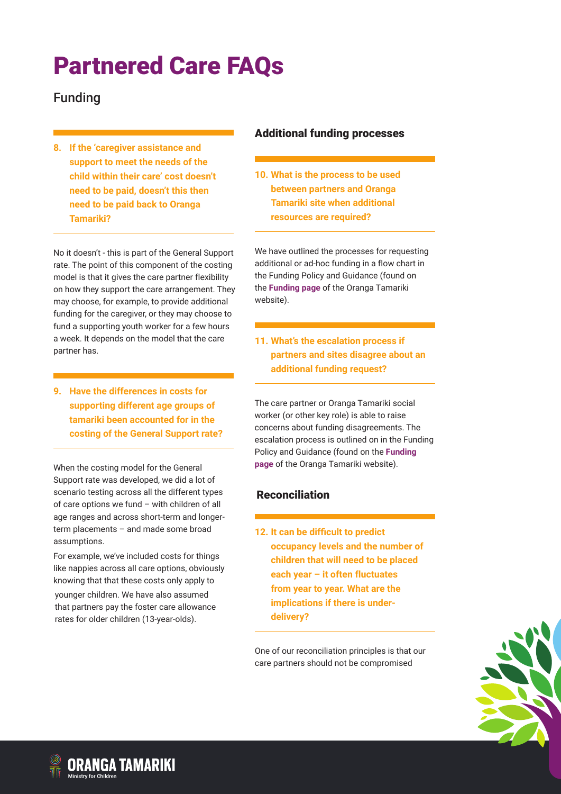# Funding

**8. If the 'caregiver assistance and support to meet the needs of the child within their care' cost doesn't need to be paid, doesn't this then need to be paid back to Oranga Tamariki?**

No it doesn't - this is part of the General Support rate. The point of this component of the costing model is that it gives the care partner flexibility on how they support the care arrangement. They may choose, for example, to provide additional funding for the caregiver, or they may choose to fund a supporting youth worker for a few hours a week. It depends on the model that the care partner has.

**9. Have the differences in costs for supporting different age groups of tamariki been accounted for in the costing of the General Support rate?**

When the costing model for the General Support rate was developed, we did a lot of scenario testing across all the different types of care options we fund – with children of all age ranges and across short-term and longerterm placements – and made some broad assumptions.

For example, we've included costs for things like nappies across all care options, obviously knowing that that these costs only apply to younger children. We have also assumed that partners pay the foster care allowance rates for older children (13-year-olds).

### Additional funding processes

**10. What is the process to be used between partners and Oranga Tamariki site when additional resources are required?**

We have outlined the processes for requesting additional or ad-hoc funding in a flow chart in the Funding Policy and Guidance (found on the **[Funding page](https://orangatamariki.govt.nz/working-with-children/information-for-providers/partnered-care/funding)** of the Oranga Tamariki website).

**11. What's the escalation process if partners and sites disagree about an additional funding request?**

The care partner or Oranga Tamariki social worker (or other key role) is able to raise concerns about funding disagreements. The escalation process is outlined on in the Funding Policy and Guidance (found on the **[Funding](https://orangatamariki.govt.nz/working-with-children/information-for-providers/partnered-care/funding)  [page](https://orangatamariki.govt.nz/working-with-children/information-for-providers/partnered-care/funding)** of the Oranga Tamariki website).

## Reconciliation

**12. It can be difficult to predict occupancy levels and the number of children that will need to be placed each year – it often fluctuates from year to year. What are the implications if there is underdelivery?**

One of our reconciliation principles is that our care partners should not be compromised

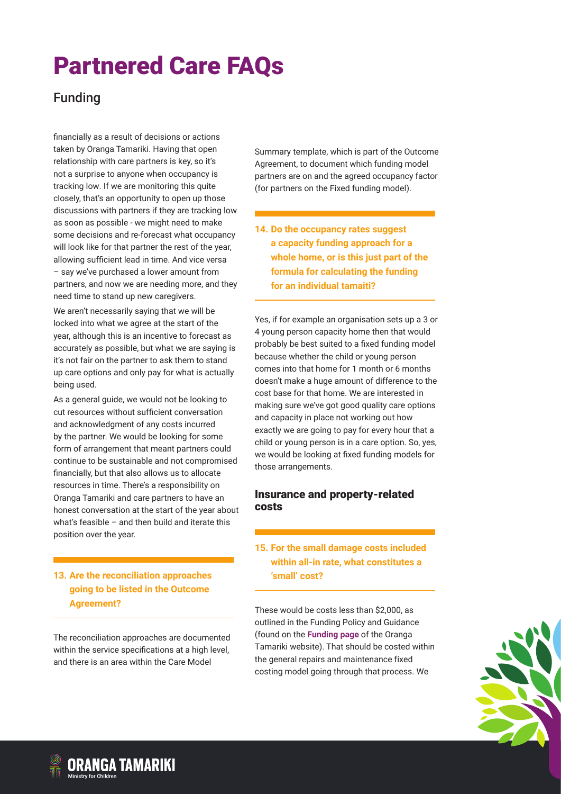# Funding

financially as a result of decisions or actions taken by Oranga Tamariki. Having that open relationship with care partners is key, so it's not a surprise to anyone when occupancy is tracking low. If we are monitoring this quite closely, that's an opportunity to open up those discussions with partners if they are tracking low as soon as possible - we might need to make some decisions and re-forecast what occupancy will look like for that partner the rest of the year, allowing sufficient lead in time. And vice versa – say we've purchased a lower amount from partners, and now we are needing more, and they need time to stand up new caregivers.

We aren't necessarily saying that we will be locked into what we agree at the start of the year, although this is an incentive to forecast as accurately as possible, but what we are saying is it's not fair on the partner to ask them to stand up care options and only pay for what is actually being used.

As a general guide, we would not be looking to cut resources without sufficient conversation and acknowledgment of any costs incurred by the partner. We would be looking for some form of arrangement that meant partners could continue to be sustainable and not compromised financially, but that also allows us to allocate resources in time. There's a responsibility on Oranga Tamariki and care partners to have an honest conversation at the start of the year about what's feasible – and then build and iterate this position over the year.

**13. Are the reconciliation approaches going to be listed in the Outcome Agreement?**

The reconciliation approaches are documented within the service specifications at a high level. and there is an area within the Care Model

Summary template, which is part of the Outcome Agreement, to document which funding model partners are on and the agreed occupancy factor (for partners on the Fixed funding model).

**14. Do the occupancy rates suggest a capacity funding approach for a whole home, or is this just part of the formula for calculating the funding for an individual tamaiti?**

Yes, if for example an organisation sets up a 3 or 4 young person capacity home then that would probably be best suited to a fixed funding model because whether the child or young person comes into that home for 1 month or 6 months doesn't make a huge amount of difference to the cost base for that home. We are interested in making sure we've got good quality care options and capacity in place not working out how exactly we are going to pay for every hour that a child or young person is in a care option. So, yes, we would be looking at fixed funding models for those arrangements.

#### Insurance and property-related costs

## **15. For the small damage costs included within all-in rate, what constitutes a 'small' cost?**

These would be costs less than \$2,000, as outlined in the Funding Policy and Guidance (found on the **[Funding page](https://orangatamariki.govt.nz/working-with-children/information-for-providers/partnered-care/funding)** of the Oranga Tamariki website). That should be costed within the general repairs and maintenance fixed costing model going through that process. We



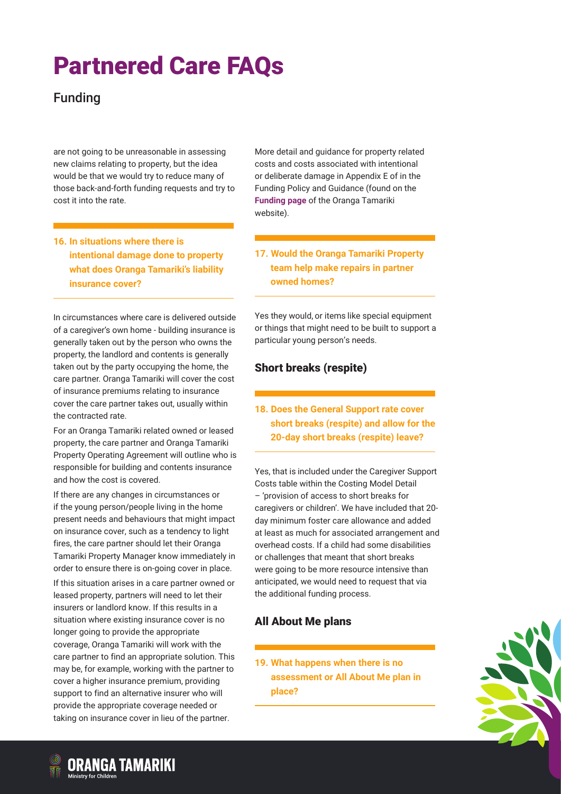# Funding

are not going to be unreasonable in assessing new claims relating to property, but the idea would be that we would try to reduce many of those back-and-forth funding requests and try to cost it into the rate.

## **16. In situations where there is intentional damage done to property what does Oranga Tamariki's liability insurance cover?**

In circumstances where care is delivered outside of a caregiver's own home - building insurance is generally taken out by the person who owns the property, the landlord and contents is generally taken out by the party occupying the home, the care partner. Oranga Tamariki will cover the cost of insurance premiums relating to insurance cover the care partner takes out, usually within the contracted rate.

For an Oranga Tamariki related owned or leased property, the care partner and Oranga Tamariki Property Operating Agreement will outline who is responsible for building and contents insurance and how the cost is covered.

If there are any changes in circumstances or if the young person/people living in the home present needs and behaviours that might impact on insurance cover, such as a tendency to light fires, the care partner should let their Oranga Tamariki Property Manager know immediately in order to ensure there is on-going cover in place.

If this situation arises in a care partner owned or leased property, partners will need to let their insurers or landlord know. If this results in a situation where existing insurance cover is no longer going to provide the appropriate coverage, Oranga Tamariki will work with the care partner to find an appropriate solution. This may be, for example, working with the partner to cover a higher insurance premium, providing support to find an alternative insurer who will provide the appropriate coverage needed or taking on insurance cover in lieu of the partner.

More detail and guidance for property related costs and costs associated with intentional or deliberate damage in Appendix E of in the Funding Policy and Guidance (found on the **[Funding page](https://orangatamariki.govt.nz/working-with-children/information-for-providers/partnered-care/funding)** of the Oranga Tamariki website).

## **17. Would the Oranga Tamariki Property team help make repairs in partner owned homes?**

Yes they would, or items like special equipment or things that might need to be built to support a particular young person's needs.

# Short breaks (respite)

### **18. Does the General Support rate cover short breaks (respite) and allow for the 20-day short breaks (respite) leave?**

Yes, that is included under the Caregiver Support Costs table within the Costing Model Detail – 'provision of access to short breaks for caregivers or children'. We have included that 20 day minimum foster care allowance and added at least as much for associated arrangement and overhead costs. If a child had some disabilities or challenges that meant that short breaks were going to be more resource intensive than anticipated, we would need to request that via the additional funding process.

## All About Me plans

**19. What happens when there is no assessment or All About Me plan in place?**